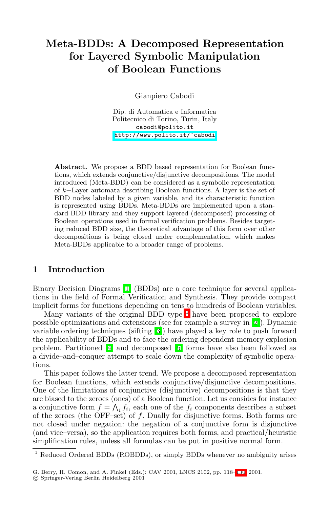# **Meta-BDDs: A Decomposed Representation for Layered Symbolic Manipulation of Boolean Functions**

Gianpiero Cabodi

Dip. di Automatica e Informatica Politecnico di Torino, Turin, Italy [cab](http://www.polito.it/~cabodi)odi@polito.it http://www.polito.it/~cabodi

**Abstract.** We propose a BDD based representation for Boolean functions, which extends conjunctive/disjunctive decompositions. The model introduced (Meta-BDD) can be considered as a symbolic representation of k−Layer automata describing Boolean functions. A layer is the set of BDD nodes labeled by a given variable, and its characteristic function is represented using BDDs. Meta-BDDs are implemented upon a standard BDD library and they support layered (decomposed) processing of Boolean operations used in formal verification problems. Besides targeting reduced BDD size, the theoretical advantage of this form over other decompositions is being closed under complementation, which makes Meta-BDDs applicable to a broader range of problems.

### **1 Introduction**

Binary Decision Diagrams [1] (BDDs) are a core technique for several applications in the field of Formal Verification and Synthesis. They provide compact implicit forms for functi[on](#page-0-0)s depending on tens to hundreds of Boolean variables.

Many variants of the original BDD type  $<sup>1</sup>$  $<sup>1</sup>$  $<sup>1</sup>$  have been proposed to explore</sup> possible optimi[zat](#page-12-1)ions and extensions (see for example a survey in [2]). Dynamic variable ordering techniques (sifting [3]) have played a key role to push forward t[he](#page-12-2) applicability of B[DD](#page-12-3)s and to face the ordering dependent memory explosion problem. Partitioned [4] and decomposed [5] forms have also been followed as a divide–and–conquer attempt to scale down the complexity of symbolic operations.

This paper follows the latter trend. We propose a decomposed representation for Boolean functions, which extends conjunctive/disjunctive decompositions. One of the limitations of conjunctive (disjunctive) decompositions is that they are biased to the zeroes (ones) of a Boolean function. Let us consides for instance a conjunctive form  $f = \bigwedge_i f_i$ , each one of the  $f_i$  components describes a subset of the zeroes (the OFF–set) of f. Dually for disjunctive forms. Both forms are not closed under negation: the negation of a conjunctive form is disjunctive (and vice–versa), so the application requires both forms, and practical/heuristic simplification rules, unless all formulas can be put in positive normal form.

 $1$  Reduced Ordered BDDs (ROBDDs), or simply BDDs whenever no ambiguity arises

<span id="page-0-0"></span>G. Berry, H. Comon, and A. Finkel (Eds.): CAV 2001, LNCS 2102, pp. 118–130, 2001.

c Springer-Verlag Berlin Heidelberg 2001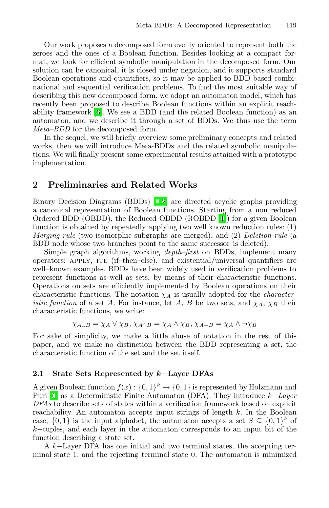Our work proposes a decomposed form evenly oriented to represent both the zeroes and the ones of a Boolean function. Besides looking at a compact format, we look for efficient symbolic manipulation in the decomposed form. Our solution can be canonical, it is closed under negation, and it supports standard Boolean operations and quantifiers, so it may be applied to BDD based combinational and sequential verification problems. To find the most suitable way of describing this new decomposed form, we adopt an automaton model, which has recently been proposed to describe Boolean functions within an explicit reachability framework [\[6\]](#page-12-4). We see a BDD (and the related Boolean function) as an automaton, and we describe it through a set of BDDs. We thus use the term *Meta–BDD* for the decomposed form.

In the sequel, we will briefly overview some preliminary concepts and related works, then we will introduce Meta-BDDs and the related symbolic manipulations. We will finally present some experimental results attained with a prototype implementation.

### **2 Preliminaries and Related Works**

Binary Decision Diagrams (BDDs) [\[1](#page-12-5)[,2\]](#page-12-0) are directed acyclic graphs providing a canonical representation of Boolean functions. Starting from a non reduced Ordered BDD (OBDD), the Reduced OBDD (ROBDD [\[1\]](#page-12-5)) for a given Boolean function is obtained by repeatedly applying two well known reduction rules: (1) *Merging rule* (two isomorphic subgraphs are merged), and (2) *Deletion rule* (a BDD node whose two branches point to the same successor is deleted).

Simple graph algorithms, working *depth–first* on BDDs, implement many operators: apply, ite (if–then–else), and existential/universal quantifiers are well–known examples. BDDs have been widely used in verification problems to represent functions as well as sets, by means of their characteristic functions. Operations on sets are efficiently implemented by Boolean operations on their characteristic functions. The notation  $\chi_A$  is usually adopted for the *characteristic function* of a set A. For instance, let A, B be two sets, and  $\chi_A$ ,  $\chi_B$  their characteristic functions, we write:

$$
\chi_{A\cup B}=\chi_A\vee\chi_B, \chi_{A\cap B}=\chi_A\wedge\chi_B, \chi_{A-B}=\chi_A\wedge\neg\chi_B
$$

For sake of simplicity, we make a little abuse of notation in the rest of this paper, and we make no distinction between the BDD representing a set, the characteristic function of the set and the set itself.

#### **2.1 State Sets Represented by** *k−***Layer DFAs**

A given Boolean function  $f(x): \{0,1\}^k \to \{0,1\}$  is represented by Holzmann and Puri [\[6\]](#page-12-4) as a Deterministic Finite Automaton (DFA). They introduce k−*Layer DFAs* to describe sets of states within a verification framework based on explicit reachability. An automaton accepts input strings of length  $k$ . In the Boolean case,  $\{0,1\}$  is the input alphabet, the automaton accepts a set  $S \subseteq \{0,1\}^k$  of k−tuples, and each layer in the automaton corresponds to an input bit of the function describing a state set.

A k−Layer DFA has one initial and two terminal states, the accepting terminal state 1, and the rejecting terminal state 0. The automaton is minimized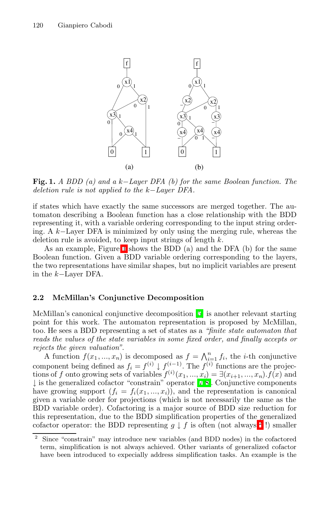

<span id="page-2-0"></span>**Fig. 1.** *A BDD (a) and a* k−*Layer DFA (b) for the same Boolean function. The deletion rule is not applied to the* k−*Layer DFA.*

if states which have exactly the same successors are merged together. The automaton describing a Boolean function has a close relationship with the BDD representing it, with a variable ordering corresponding to the input string ordering. A k−Layer DFA is minimized by only using the merging rule, whereas the deletion rule is avoided, to keep input strings of length k.

As an example, Figure [1](#page-2-0) shows the BDD (a) and the DFA (b) for the same Boolean function. Given a BDD variable ordering corresponding to the layers, the two representations have similar shapes, but no implicit variables are present in the k−Layer DFA.

### **2.2 McMillan's Conjunctive Decomposition**

McMillan's canonical conjunctive decomposition [\[5\]](#page-12-3) is another relevant starting point for this work. The automaton representation is proposed by McMillan, too. He sees a BDD representing a set of states as a *"finite state automaton that reads the values of the state variables in some fixed order, and finally accepts or rejects the given valuation"*.

A function  $f(x_1,...,x_n)$  is decomposed as  $f = \bigwedge_{i=1}^n f_i$ , the *i*-th conjunctive component being defined as  $f_i = f^{(i)} \downarrow f^{(i-1)}$ . The  $f^{(i)}$  functions are the projections of f onto growing sets of variables  $f^{(i)}(x_1, ..., x_i) = \exists (x_{i+1}, ..., x_n) \cdot f(x)$  and  $\downarrow$  is the generalized cofactor "constrain" operator [\[7,](#page-12-6)[8\]](#page-12-7). Conjunctive components have growing support  $(f_i = f_i(x_1, ..., x_i))$ , and the representation is canonical given a variable order for projections (which is not necessarily the same as the BDD variable order). Cofactoring is a major source of BDD size reduction for this representation, due to the BDD simplification properties of the generalized cofactor operator: the BDD representing  $q \downarrow f$  is often (not always <sup>[2](#page-2-1)</sup>!) smaller

<span id="page-2-1"></span><sup>&</sup>lt;sup>2</sup> Since "constrain" may introduce new variables (and BDD nodes) in the cofactored term, simplification is not always achieved. Other variants of generalized cofactor have been introduced to expecially address simplification tasks. An example is the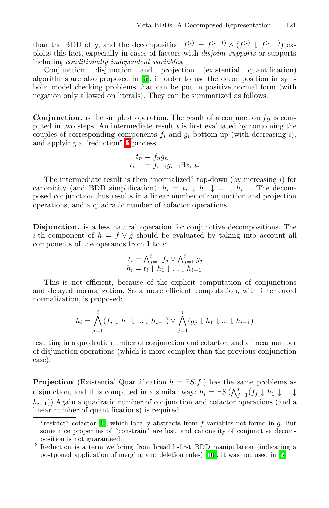than the BDD of g, and the decomposition  $f^{(i)} = f^{(i-1)} \wedge (f^{(i)} \downarrow f^{(i-1)})$  exploits this fact, expecially in cases of factors with *disjoint supports* or supports including *conditionally independent variables*.

Conjunction, disjunction and projection (existential quantification) algorithms are also proposed in [\[5\]](#page-12-3), in order to use the decomposition in symbolic model checking problems that can be put in positive normal form (with negation only allowed on literals). They can be summarized as follows.

**Conjunction.** is the simplest operation. The result of a conjunction  $fg$  is computed in two steps. An intermediate result  $t$  is first evaluated by conjoining the couples of corresponding components  $f_i$  and  $g_i$  bottom-up (with decreasing i), and applying a "reduction" <sup>[3](#page-3-0)</sup> process:

$$
t_n = f_n g_n
$$
  

$$
t_{i-1} = f_{i-1} g_{i-1} \exists x_i . t_i
$$

The intermediate result is then "normalized" top-down (by increasing  $i$ ) for canonicity (and BDD simplification):  $h_i = t_i \downarrow h_1 \downarrow ... \downarrow h_{i-1}$ . The decomposed conjunction thus results in a linear number of conjunction and projection operations, and a quadratic number of cofactor operations.

**Disjunction.** is a less natural operation for conjunctive decompositions. The i-th component of  $h = f \vee g$  should be evaluated by taking into account all components of the operands from 1 to i:

$$
t_i = \bigwedge_{j=1}^i f_j \vee \bigwedge_{j=1}^i g_j
$$
  

$$
h_i = t_i \downarrow h_1 \downarrow \dots \downarrow h_{i-1}
$$

This is not efficient, because of the explicit computation of conjunctions and delayed normalization. So a more efficient computation, with interleaved normalization, is proposed:

$$
h_i = \bigwedge_{j=1}^i (f_j \downarrow h_1 \downarrow \dots \downarrow h_{i-1}) \vee \bigwedge_{j=1}^i (g_j \downarrow h_1 \downarrow \dots \downarrow h_{i-1})
$$

resulting in a quadratic number of conjunction and cofactor, and a linear number of disjunction operations (which is more complex than the previous conjunction case).

**Projection** (Existential Quantification  $h = \exists S.f.$ ) has the same problems as disjunction, and it is computed in a similar way:  $h_i = \exists S.(\bigwedge_{j=1}^{i} (f_j \downarrow h_1 \downarrow ... \downarrow$  $(h_{i-1})$ ) Again a quadratic number of conjunction and cofactor operations (and a linear number of quantifications) is required.

<sup>&</sup>quot;restrict" cofactor  $[9]$ , which locally abstracts from  $f$  variables not found in  $g$ . But some nice properties of "constrain" are lost, and canonicity of conjunctive decomposition is not guaranteed.

<span id="page-3-0"></span><sup>&</sup>lt;sup>3</sup> Reduction is a term we bring from breadth-first BDD manipulation (indicating a postponed application of merging and deletion rules) [\[10\]](#page-12-9). It was not used in [\[5\]](#page-12-3)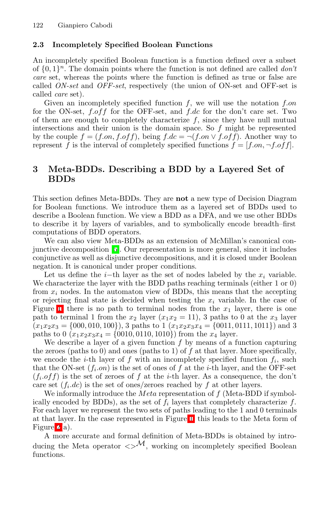#### **2.3 Incompletely Specified Boolean Functions**

An incompletely specified Boolean function is a function defined over a subset of  $\{0, 1\}^n$ . The domain points where the function is not defined are called *don't care* set, whereas the points where the function is defined as true or false are called *ON-set* and *OFF-set*, respectively (the union of ON-set and OFF-set is called *care* set).

Given an incompletely specified function  $f$ , we will use the notation  $f$ . for the ON-set,  $f.$  of f for the OFF-set, and  $f.dc$  for the don't care set. Two of them are enough to completely characterize  $f$ , since they have null mutual intersections and their union is the domain space. So f might be represented by the couple  $f = (f.on, f.off)$ , being  $f.dc = \neg(f.on \vee f.off)$ . Another way to represent f is the interval of completely specified functions  $f = [f \cdot on, \neg f \cdot off].$ 

### **3 Meta-BDDs. Describing a BDD by a Layered Set of BDDs**

This section defines Meta-BDDs. They are **not** a new type of Decision Diagram for Boolean functions. We introduce them as a layered set of BDDs used to describe a Boolean function. We view a BDD as a DFA, and we use other BDDs to describe it by layers of variables, and to symbolically encode breadth–first computations of BDD operators.

We can also view Meta-BDDs as an extension of McMillan's canonical conjunctive decomposition [\[5\]](#page-12-3). Our representation is more general, since it includes conjunctive as well as disjunctive decompositions, and it is closed under Boolean negation. It is canonical under proper conditions.

Let us define the i–th layer as the set of nodes labeled by the  $x_i$  variable. We characterize the layer with the BDD paths reaching terminals (either 1 or 0) from  $x_i$  nodes. In the automaton view of BDDs, this means that the accepting or rejecting final state is decided when testing the  $x_i$  variable. In the case of Figure [1,](#page-2-0) there is no path to terminal nodes from the  $x_1$  layer, there is one path to terminal 1 from the  $x_2$  layer  $(x_1x_2 = 11)$ , 3 paths to 0 at the  $x_3$  layer  $(x_1x_2x_3 = \{000, 010, 100\})$ , 3 paths to 1  $(x_1x_2x_3x_4 = \{0011, 0111, 1011\})$  and 3 paths to  $0$   $(x_1x_2x_3x_4 = \{0010, 0110, 1010\})$  from the  $x_4$  layer.

We describe a layer of a given function  $f$  by means of a function capturing the zeroes (paths to 0) and ones (paths to 1) of  $f$  at that layer. More specifically, we encode the *i*-th layer of f with an incompletely specified function  $f_i$ , such that the ON-set  $(f_i$ .on) is the set of ones of f at the *i*-th layer, and the OFF-set  $(f_i. \textit{off})$  is the set of zeroes of f at the *i*-th layer. As a consequence, the don't care set  $(f_i.dc)$  is the set of ones/zeroes reached by f at other layers.

We informally introduce the *Meta* representation of  $f$  (Meta-BDD if symbolically encoded by BDDs), as the set of  $f_i$  layers that completely characterize f. For each layer we represent the two sets of paths leading to the 1 and 0 terminals at that layer. In the case represented in Figure [1,](#page-2-0) this leads to the Meta form of Figure [2\(](#page-5-0)a).

A more accurate and formal definition of Meta-BDDs is obtained by introducing the Meta operator  $\ll^{\mathcal{M}}$ , working on incompletely specified Boolean functions.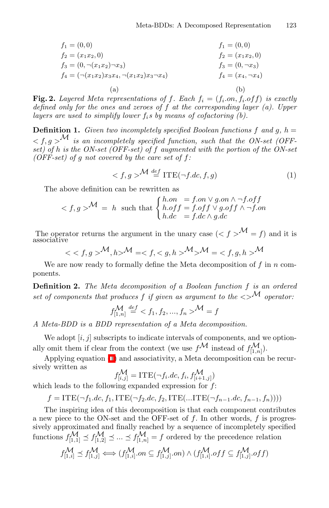$$
f_1 = (0,0)
$$
  
\n
$$
f_2 = (x_1x_2,0)
$$
  
\n
$$
f_3 = (0, \neg(x_1x_2)\neg x_3)
$$
  
\n
$$
f_4 = (\neg(x_1x_2)x_3x_4, \neg(x_1x_2)x_3\neg x_4)
$$
  
\n
$$
f_5 = (0, \neg(x_3)
$$
  
\n
$$
f_6 = (0, \neg x_3)
$$
  
\n
$$
f_7 = (x_1x_2,0)
$$
  
\n
$$
f_8 = (0, \neg x_3)
$$
  
\n
$$
f_9 = (x_4, \neg x_4)
$$
  
\n(a)  
\n(b)

<span id="page-5-1"></span><span id="page-5-0"></span>**Fig. 2.** *Layered Meta representations of* f*. Each*  $f_i = (f_i \cdot on, f_i \cdot off)$  *is exactly defined only for the ones and zeroes of* f *at the corresponding layer (a). Upper layers are used to simplify lower*  $f_i$ *s by means of cofactoring (b).* 

**Definition 1.** *Given two incompletely specified Boolean functions*  $f$  *and*  $g$ *,*  $h =$  $\langle f, g \rangle^{\mathcal{M}}$  *is an incompletely specified function, such that the ON-set (OFFset) of* h *is the ON-set (OFF-set) of* f *augmented with the portion of the ON-set (OFF-set) of* g *not covered by the care set of* f*:*

$$
\langle f, g \rangle^{\mathcal{M}} \stackrel{def}{=} \text{ITE}(\neg f.dc, f, g) \tag{1}
$$

The above definition can be rewritten as

$$
\langle f, g \rangle^{\mathcal{M}} = h \text{ such that } \begin{cases} h. on & = f. on \vee g. on \wedge \neg f. off \\ h. off = f. off \vee g. off \wedge \neg f. on \\ h. dc & = f. dc \wedge g. dc \end{cases}
$$

The operator returns the argument in the unary case  $(*f* > M = *f*)$  and it is associative

 $<< f, g >^{\mathcal{M}}$ ,  $h >^{\mathcal{M}} = < f, < g, h >^{\mathcal{M}} >^{\mathcal{M}} = < f, g, h >^{\mathcal{M}}$ 

We are now ready to formally define the Meta decomposition of  $f$  in  $n$  components.

**Definition 2.** *The Meta decomposition of a Boolean function* f *is an ordered set of components that produces* f *if given as argument to the*  $\langle >^{\mathcal{M}}$  *operator:* 

$$
f_{[1,n]}^{\mathcal{M}} \stackrel{def}{=} \langle f_1, f_2, ..., f_n \rangle^{\mathcal{M}} = f
$$

*A Meta-BDD is a BDD representation of a Meta decomposition.*

We adopt  $[i, j]$  subscripts to indicate intervals of components, and we optionally omit them if clear from the context (we use  $f^{\mathcal{M}}$  instead of  $f^{\mathcal{M}}_{[1,n]}$ ).

Applying equation [\(1\)](#page-5-1) and associativity, a Meta decomposition can be recursively written as

$$
f_{[i,j]}^{\mathcal{M}} = \text{ITE}(\neg f_i.dc, f_i, f_{[i+1,j]}^{\mathcal{M}})
$$

which leads to the following expanded expression for f:

$$
f=\mathrm{ITE}(\neg f_1.dc, f_1, \mathrm{ITE}(\neg f_2.dc, f_2, \mathrm{ITE}(\ldots \mathrm{ITE}(\neg f_{n-1}.dc, f_{n-1}, f_n))))
$$

The inspiring idea of this decomposition is that each component contributes a new piece to the ON-set and the OFF-set of  $f$ . In other words,  $f$  is progressively approximated and finally reached by a sequence of incompletely specified functions  $f_{[1,1]}^{\mathcal{M}} \preceq f_{[1,2]}^{\mathcal{M}} \preceq \ldots \preceq f_{[1,n]}^{\mathcal{M}} = f$  ordered by the precedence relation

$$
f^{\mathcal{M}}_{[1,i]}\preceq f^{\mathcal{M}}_{[1,j]}\Longleftrightarrow (f^{\mathcal{M}}_{[1,i]}.on\subseteq f^{\mathcal{M}}_{[1,j]}.on)\wedge (f^{\mathcal{M}}_{[1,i]}.off\subseteq f^{\mathcal{M}}_{[1,j]}.off)
$$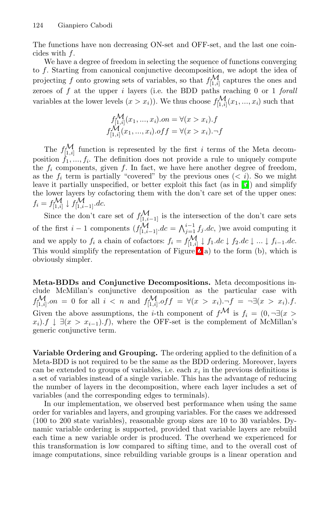The functions have non decreasing ON-set and OFF-set, and the last one coincides with f.

We have a degree of freedom in selecting the sequence of functions converging to f. Starting from canonical conjunctive decomposition, we adopt the idea of projecting f onto growing sets of variables, so that  $f_{[1,i]}^{\mathcal{M}}$  captures the ones and zeroes of f at the upper i layers (i.e. the BDD paths reaching 0 or 1 *forall* variables at the lower levels  $(x > x_i)$ ). We thus choose  $f_{[1,i]}^{\mathcal{M}}(x_1, ..., x_i)$  such that

$$
f_{[1,i]}^{\mathcal{M}}(x_1, ..., x_i).on = \forall (x > x_i).f
$$
  

$$
f_{[1,i]}^{\mathcal{M}}(x_1, ..., x_i).off = \forall (x > x_i).\neg f
$$

The  $f_{[1,i]}^{\mathcal{M}}$  function is represented by the first i terms of the Meta decomposition  $f_1, ..., f_i$ . The definition does not provide a rule to uniquely compute the  $f_i$  components, given f. In fact, we have here another degree of freedom, as the  $f_i$  term is partially "covered" by the previous ones  $(*i*)$ . So we might leave it partially unspecified, or better exploit this fact (as in [\[5\]](#page-12-3)) and simplify the lower layers by cofactoring them with the don't care set of the upper ones:  $f_i = f_{[1,i]}^{\mathcal{M}} \downarrow f_{[1,i-1]}^{\mathcal{M}} \cdot dc.$ 

Since the don't care set of  $f_{[1,i-1]}^{\mathcal{M}}$  is the intersection of the don't care sets of the first  $i-1$  components  $\left(\hat{M}\atop{[1,i-1]} \right]$   $dc = \bigwedge_{j=1}^{i-1} f_j \right]$  dc, )we avoid computing it and we apply to  $f_i$  a chain of cofactors:  $f_i = f_{[1,i]}^{\mathcal{M}} \downarrow f_1 \cdot dc \downarrow f_2 \cdot dc \downarrow \ldots \downarrow f_{i-1} \cdot dc$ . This would simplify the representation of Figure  $2(a)$  to the form  $(b)$ , which is obviously simpler.

**Meta-BDDs and Conjunctive Decompositions.** Meta decompositions include McMillan's conjunctive decomposition as the particular case with  $f_{[1,i]}^{\mathcal{M}}$  on = 0 for all  $i \leq n$  and  $f_{[1,i]}^{\mathcal{M}}$  of  $f = \forall (x > x_i) \neg f = \neg \exists (x > x_i) \neg f$ . Given the above assumptions, the *i*-th component of  $f^{\mathcal{M}}$  is  $f_i = (0, \neg \exists (x >$  $x_i$ ).f  $\downarrow \exists (x > x_{i-1}).f$ , where the OFF-set is the complement of McMillan's generic conjunctive term.

**Variable Ordering and Grouping.** The ordering applied to the definition of a Meta-BDD is not required to be the same as the BDD ordering. Moreover, layers can be extended to groups of variables, i.e. each  $x_i$  in the previous definitions is a set of variables instead of a single variable. This has the advantage of reducing the number of layers in the decomposition, where each layer includes a set of variables (and the corresponding edges to terminals).

In our implementation, we observed best performance when using the same order for variables and layers, and grouping variables. For the cases we addressed (100 to 200 state variables), reasonable group sizes are 10 to 30 variables. Dynamic variable ordering is supported, provided that variable layers are rebuild each time a new variable order is produced. The overhead we experienced for this transformation is low compared to sifting time, and to the overall cost of image computations, since rebuilding variable groups is a linear operation and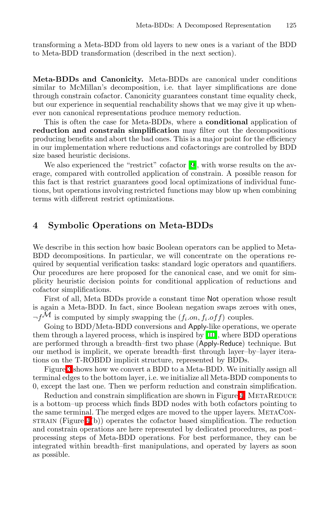transforming a Meta-BDD from old layers to new ones is a variant of the BDD to Meta-BDD transformation (described in the next section).

**Meta-BDDs and Canonicity.** Meta-BDDs are canonical under conditions similar to McMillan's decomposition, i.e. that layer simplifications are done through constrain cofactor. Canonicity guarantees constant time equality check, but our experience in sequential reachability shows that we may give it up whenever non canonical representations produce memory reduction.

This is often the case for Meta-BDDs, where a **conditional** application of **reduction and constrain simplification** may filter out the decompositions producing benefits and abort the bad ones. This is a major point for the efficiency in our implementation where reductions and cofactorings are controlled by BDD size based heuristic decisions.

We also experienced the "restrict" cofactor [\[9\]](#page-12-8), with worse results on the average, compared with controlled application of constrain. A possible reason for this fact is that restrict guarantees good local optimizations of individual functions, but operations involving restricted functions may blow up when combining terms with different restrict optimizations.

#### **4 Symbolic Operations on Meta-BDDs**

We describe in this section how basic Boolean operators can be applied to Meta-BDD decompositions. In particular, we will concentrate on the operations required by sequential verification tasks: standard logic operators and quantifiers. Our procedures are here proposed for the canonical case, and we omit for simplicity heuristic decision points for conditional application of reductions and cofactor simplifications.

First of all, Meta BDDs provide a constant time Not operation whose result is again a Meta-BDD. In fact, since Boolean negation swaps zeroes with ones,  $\neg f^{\mathcal{M}}$  is computed by simply swapping the  $(f_i \cdot on, f_i \cdot off)$  couples.

Going to BDD/Meta-BDD conversions and Apply-like operations, we operate them through a layered process, which is inspired by [\[10\]](#page-12-9), where BDD operations are performed through a breadth–first two phase (Apply-Reduce) technique. But our method is implicit, we operate breadth–first through layer–by–layer iterations on the T-ROBDD implicit structure, represented by BDDs.

Figure [3](#page-8-0) shows how we convert a BDD to a Meta-BDD. We initially assign all terminal edges to the bottom layer, i.e. we initialize all Meta-BDD components to 0, except the last one. Then we perform reduction and constrain simplification.

Reduction and constrain simplification are shown in Figure [4.](#page-8-1) METAREDUCE is a bottom–up process which finds BDD nodes with both cofactors pointing to the same terminal. The merged edges are moved to the upper layers. MetaCon- $STRAIN$  (Figure  $4(b)$ ) operates the cofactor based simplification. The reduction and constrain operations are here represented by dedicated procedures, as post– processing steps of Meta-BDD operations. For best performance, they can be integrated within breadth–first manipulations, and operated by layers as soon as possible.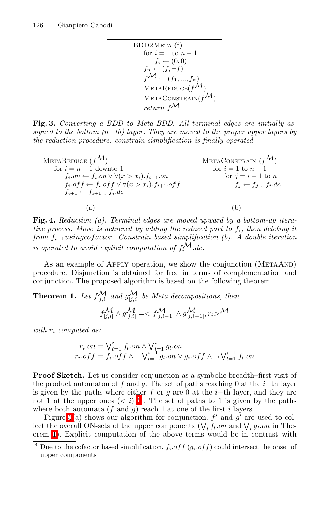

<span id="page-8-0"></span>**Fig. 3.** *Converting a BDD to Meta-BDD. All terminal edges are initially assigned to the bottom (*n−*th) layer. They are moved to the proper upper layers by the reduction procedure. constrain simplification is finally operated*

| METAREDUCE $(f^{\mathcal{M}})$<br>for $i = n - 1$ downto 1<br>$f_i. on \leftarrow f_i. on \vee \forall (x > x_i) . f_{i+1}. on$<br>$f_i.$ of $f \leftarrow f_i.$ of $f \vee \forall (x > x_i).$ $f_{i+1}.$ of f<br>$f_{i+1} \leftarrow f_{i+1} \downarrow f_i$ .dc | METACONSTRAIN $(f^{\mathcal{M}})$<br>for $i=1$ to $n-1$<br>for $i = i + 1$ to n<br>$f_i \leftarrow f_i \downarrow f_i \, dc$ |
|--------------------------------------------------------------------------------------------------------------------------------------------------------------------------------------------------------------------------------------------------------------------|------------------------------------------------------------------------------------------------------------------------------|
| (al                                                                                                                                                                                                                                                                | (b)                                                                                                                          |

<span id="page-8-1"></span>**Fig. 4.** *Reduction (a). Terminal edges are moved upward by a bottom-up iterative process. Move is achieved by adding the reduced part to* fi*, then deleting it from*  $f_{i+1}$ *usingcofactor. Constrain based simplification (b). A double iteration is operated to avoid explicit computation of*  $f_i^{\mathcal{M}}$  *dc.* 

As an example of Apply operation, we show the conjunction (MetaAnd) procedure. Disjunction is obtained for free in terms of complementation and conjunction. The proposed algorithm is based on the following theorem

**Theorem 1.** Let  $f_{[j,i]}^{\mathcal{M}}$  and  $g_{[j,i]}^{\mathcal{M}}$  be Meta decompositions, then

<span id="page-8-3"></span>
$$
f^{\mathcal{M}}_{[j,i]}\wedge g^{\mathcal{M}}_{[j,i]}=\mathcal{M}
$$

*with* r<sup>i</sup> *computed as:*

$$
r_i. on = \bigvee_{l=1}^{i} f_l. on \land \bigvee_{l=1}^{i} g_l. on
$$
  

$$
r_i. of f = f_i. of f \land \neg \bigvee_{l=1}^{i-1} g_l. on \lor g_i. of f \land \neg \bigvee_{l=1}^{i-1} f_l. on
$$

**Proof Sketch.** Let us consider conjunction as a symbolic breadth–first visit of the product automaton of f and g. The set of paths reaching 0 at the i–th layer is given by the paths where either f or g are 0 at the i–th layer, and they are not 1 at the upper ones  $(< i)$ <sup>[4](#page-8-2)</sup>. The set of paths to 1 is given by the paths where both automata  $(f \text{ and } g)$  reach 1 at one of the first i layers.

Figure [5\(](#page-9-0)a) shows our algorithm for conjunction.  $f'$  and  $g'$  are used to collect the overall ON-sets of the upper components  $(\bigvee_l f_l \cdot on \text{ and } \bigvee_l g_l \cdot on \text{ in The-}$ orem [1\)](#page-8-3). Explicit computation of the above terms would be in contrast with

<span id="page-8-2"></span>Due to the cofactor based simplification,  $f_i$ .of  $f$  ( $g_i$ .of  $f$ ) could intersect the onset of upper components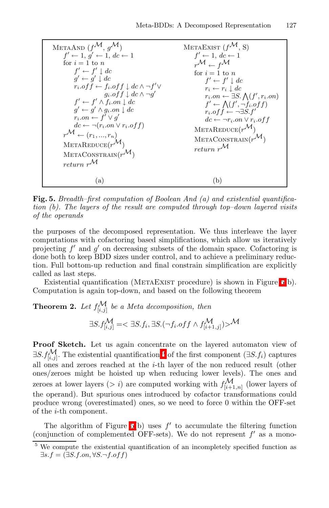

<span id="page-9-0"></span>**Fig. 5.** *Breadth–first computation of Boolean And (a) and existential quantification (b). The layers of the result are computed through top–down layered visits of the operands*

the purposes of the decomposed representation. We thus interleave the layer computations with cofactoring based simplifications, which allow us iteratively projecting  $f'$  and  $g'$  on decreasing subsets of the domain space. Cofactoring is done both to keep BDD sizes under control, and to achieve a preliminary reduction. Full bottom-up reduction and final constrain simplification are explicitly called as last steps.

Existential quantification (METAEXIST procedure) is shown in Figure [5\(](#page-9-0)b). Computation is again top-down, and based on the following theorem

**Theorem 2.** Let  $f_{[i,j]}^{\mathcal{M}}$  be a Meta decomposition, then

$$
\exists S. f^{\mathcal{M}}_{[i,j]} = <\exists S. f_i, \exists S. (\neg f_i. off \land f^{\mathcal{M}}_{[i+1,j]}) >^{\mathcal{M}}
$$

**Proof Sketch.** Let us again concentrate on the layered automaton view of  $\exists S. f_{[i,j]}^{\mathcal{M}}$ . The existential quantification <sup>[5](#page-9-1)</sup> of the first component  $(\exists S.f_i)$  captures all ones and zeroes reached at the i-th layer of the non reduced result (other ones/zeroes might be hoisted up when reducing lower levels). The ones and zeroes at lower layers ( $> i$ ) are computed working with  $f_{[i+1,n]}^{\mathcal{M}}$  (lower layers of the operand). But spurious ones introduced by cofactor transformations could produce wrong (overestimated) ones, so we need to force 0 within the OFF-set of the i-th component.

The algorithm of Figure [5\(](#page-9-0)b) uses  $f'$  to accumulate the filtering function (conjunction of complemented OFF-sets). We do not represent  $f'$  as a mono-

<span id="page-9-1"></span><sup>5</sup> We compute the existential quantification of an incompletely specified function as  $\exists s.f = (\exists S.f. \text{on}, \forall S.\neg f. \text{off})$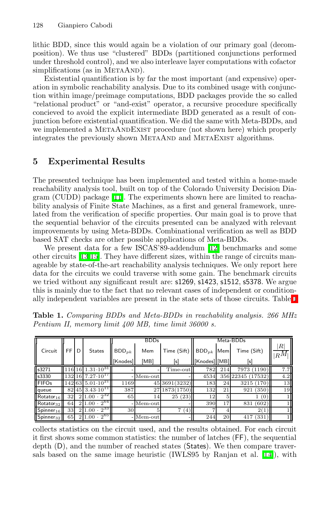lithic BDD, since this would again be a violation of our primary goal (decomposition). We thus use "clustered" BDDs (partitioned conjunctions performed under threshold control), and we also interleave layer computations with cofactor simplifications (as in METAAND).

Existential quantification is by far the most important (and expensive) operation in symbolic reachability analysis. Due to its combined usage with conjunction within image/preimage computations, BDD packages provide the so called "relational product" or "and-exist" operator, a recursive procedure specifically concieved to avoid the explicit intermediate BDD generated as a result of conjunction before existential quantification. We did the same with Meta-BDDs, and we implemented a METAANDEXIST procedure (not shown here) which properly integrates the previously shown METAAND and METAEXIST algorithms.

### **5 Experimental Results**

The presented technique has been implemented and tested within a home-made reachability analysis tool, built on top of the Colorado University Decision Diagram (CUDD) package [\[11\]](#page-12-10). The experiments shown here are limited to reachability analysis of Finite State Machines, as a first and general framework, unrelated from the verification of specific properties. Our main goal is to prove that the sequential behavior of the circuits presented can be analyzed with relevant improvements by using Meta-BDDs. Combinational verification as well as BDD based SAT checks are other possible applications of Meta-BDDs.

We present data for a few ISCAS'89-addendum [\[12\]](#page-12-11) benchmarks and some other circuits [\[13](#page-12-12)[,15\]](#page-12-13). They have different sizes, within the range of circuits manageable by state-of-the-art reachability analysis techniques. We only report here data for the circuits we could traverse with some gain. The benchmark circuits we tried without any significant result are: s1269, s1423, s1512, s5378. We argue this is mainly due to the fact that no relevant cases of independent or conditionally independent variables are present in the state sets of those circuits. Table [1](#page-10-0)

|                          |    |                |                              | <b>BDDs</b> |         | Meta-BDDs      |                 |     |                   |                  |
|--------------------------|----|----------------|------------------------------|-------------|---------|----------------|-----------------|-----|-------------------|------------------|
| Circuit                  | FF | D              | <b>States</b>                | $BDD_{pk}$  | Mem     | Time (Sift)    | $BDD_{pk}$ Mem  |     | Time (Sift)       | R<br>${}_{R}\!M$ |
|                          |    |                |                              | [Knodes]    | [MB]    | [s]            | [Knodes] [MB]   |     | [s]               |                  |
| s3271                    |    |                | $116 16 1.31\cdot10^{31}$    |             |         | Time-out       | 782             | 214 | 7973 (1190)       | 7.7              |
| s3330                    |    |                | $132 16 7.27\cdot10^{17}$    |             | Mem-out |                | 4534            |     | 356 22345 (17532) | 4.2              |
| <b>IFIFOs</b>            |    |                | $142 63 5.01 \cdot 10^{21} $ | 1169        |         | 45 3691 (3232) | 183             | 24  | 3215 (170)        | 13               |
| queue                    |    |                | $82 45 3.43\cdot10^{11}$     | 387         | 27      | 1873(1750)     | 132             | 21  | (350)<br>921      | 19               |
| Rotator <sub>16</sub>    | 32 |                | $2 1.00 \cdot 2^{32} $       | 65          | 14      | 25(23)         | 12 <sub>1</sub> | 5   | 1(0)              |                  |
| Rotator <sub>32</sub>    | 64 | 2 <sup>1</sup> | $1.00 \cdot 2^{64}$          |             | Mem-out |                | 390             | 17  | (602)<br>831      |                  |
| $5$ pinner <sub>16</sub> | 33 |                | $2 1.00 \cdot 2^{33} $       | <b>30</b>   | 5       | 7<br>(4)       |                 |     | 2(1)              |                  |
| $Spinner_{32}$           | 65 |                | $2 1.00 \cdot 2^{65} $       |             | Mem-out |                | 244             | 20  | (331)<br>417      |                  |

<span id="page-10-0"></span>**Table 1.** *Comparing BDDs and Meta-BDDs in reachability analysis. 266 MHz Pentium II, memory limit 400 MB, time limit 36000 s.*

collects statistics on the circuit used, and the results obtained. For each circuit it first shows some common statistics: the number of latches (FF), the sequential depth (D), and the number of reached states (States). We then compare traversals based on the same image heuristic (IWLS95 by Ranjan et al. [\[14\]](#page-12-14)), with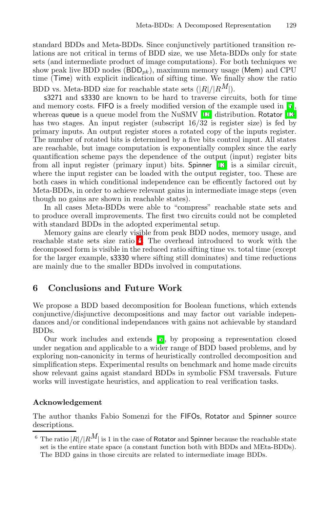standard BDDs and Meta-BDDs. Since conjunctively partitioned transition relations are not critical in terms of BDD size, we use Meta-BDDs only for state sets (and intermediate product of image computations). For both techniques we show peak live BDD nodes  $(BDD_{pk})$ , maximum memory usage (Mem) and CPU time (Time) with explicit indication of sifting time. We finally show the ratio BDD vs. Meta-BDD size for reachable state sets  $(|R|/|R^M|)$ .

s3271 and s3330 are known to be hard to traverse circuits, both for time and memory costs. FIFO is a freely modified version of the example used in [\[5\]](#page-12-3), whereas queue is a queue model from the NuSMV [\[15\]](#page-12-13) distribution. Rotator [\[13\]](#page-12-12) has two stages. An input register (subscript 16/32 is register size) is fed by primary inputs. An output register stores a rotated copy of the inputs register. The number of rotated bits is determined by a five bits control input. All states are reachable, but image computation is exponentially complex since the early quantification scheme pays the dependence of the output (input) register bits from all input register (primary input) bits. Spinner [\[13\]](#page-12-12) is a similar circuit, where the input register can be loaded with the output register, too. These are both cases in which conditional independence can be efficently factored out by Meta-BDDs, in order to achieve relevant gains in intermediate image steps (even though no gains are shown in reachable states).

In all cases Meta-BDDs were able to "compress" reachable state sets and to produce overall improvements. The first two circuits could not be completed with standard BDDs in the adopted experimental setup.

Memory gains are clearly visible from peak BDD nodes, memory usage, and reachable state sets size ratio [6](#page-11-0). The overhead introduced to work with the decomposed form is visible in the reduced ratio sifting time vs. total time (except for the larger example, s3330 where sifting still dominates) and time reductions are mainly due to the smaller BDDs involved in computations.

### **6 Conclusions and Future Work**

We propose a BDD based decomposition for Boolean functions, which extends conjunctive/disjunctive decompositions and may factor out variable independances and/or conditional independances with gains not achievable by standard BDDs.

Our work includes and extends [\[5\]](#page-12-3), by proposing a representation closed under negation and applicable to a wider range of BDD based problems, and by exploring non-canonicity in terms of heuristically controlled decomposition and simplification steps. Experimental results on benchmark and home made circuits show relevant gains agaist standard BDDs in symbolic FSM traversals. Future works will investigate heuristics, and application to real verification tasks.

#### **Acknowledgement**

The author thanks Fabio Somenzi for the FIFOs, Rotator and Spinner source descriptions.

<span id="page-11-0"></span>The ratio  $|R|/|R^M|$  is 1 in the case of Rotator and Spinner because the reachable state set is the entire state space (a constant function both with BDDs and MEta-BDDs). The BDD gains in those circuits are related to intermediate image BDDs.